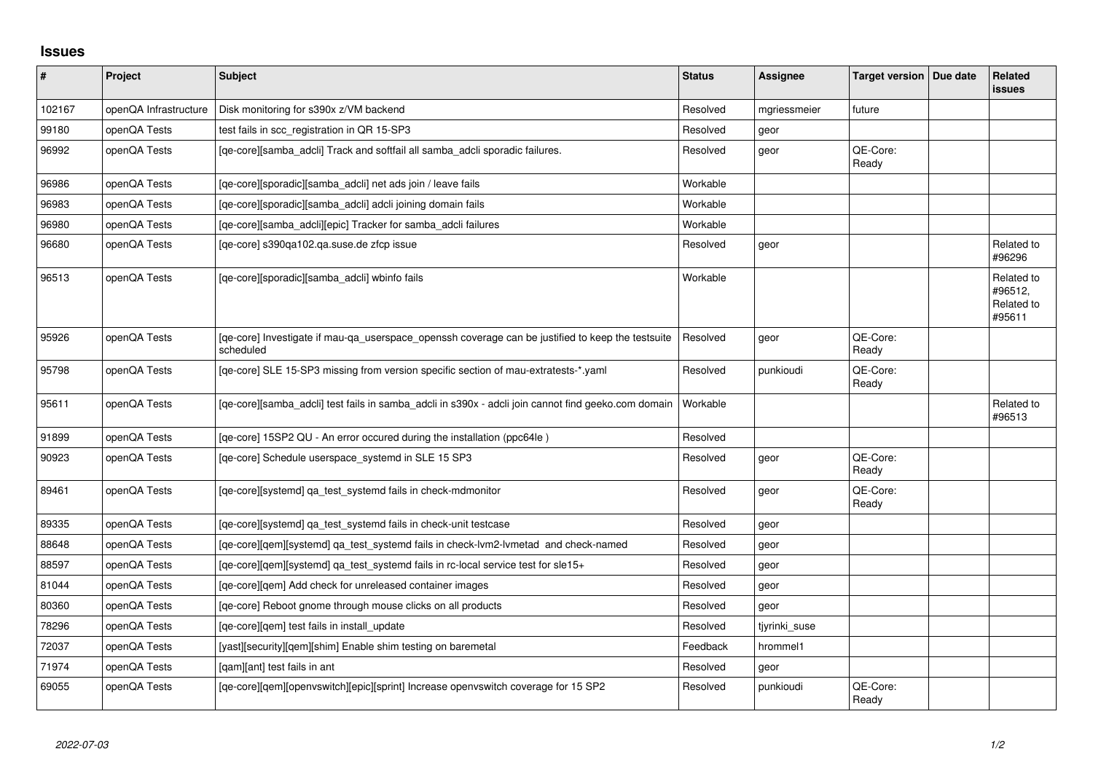## **Issues**

| $\vert$ # | Project               | <b>Subject</b>                                                                                                 | <b>Status</b> | <b>Assignee</b> | <b>Target version</b> | Due date | <b>Related</b><br><b>issues</b>               |
|-----------|-----------------------|----------------------------------------------------------------------------------------------------------------|---------------|-----------------|-----------------------|----------|-----------------------------------------------|
| 102167    | openQA Infrastructure | Disk monitoring for s390x z/VM backend                                                                         | Resolved      | mgriessmeier    | future                |          |                                               |
| 99180     | openQA Tests          | test fails in scc registration in QR 15-SP3                                                                    | Resolved      | geor            |                       |          |                                               |
| 96992     | openQA Tests          | [qe-core][samba_adcli] Track and softfail all samba_adcli sporadic failures.                                   | Resolved      | geor            | QE-Core:<br>Ready     |          |                                               |
| 96986     | openQA Tests          | [qe-core][sporadic][samba_adcli] net ads join / leave fails                                                    | Workable      |                 |                       |          |                                               |
| 96983     | openQA Tests          | [qe-core][sporadic][samba_adcli] adcli joining domain fails                                                    | Workable      |                 |                       |          |                                               |
| 96980     | openQA Tests          | [qe-core][samba_adcli][epic] Tracker for samba_adcli failures                                                  | Workable      |                 |                       |          |                                               |
| 96680     | openQA Tests          | [ge-core] s390ga102.ga.suse.de zfcp issue                                                                      | Resolved      | geor            |                       |          | Related to<br>#96296                          |
| 96513     | openQA Tests          | [qe-core][sporadic][samba_adcli] wbinfo fails                                                                  | Workable      |                 |                       |          | Related to<br>#96512,<br>Related to<br>#95611 |
| 95926     | openQA Tests          | [qe-core] Investigate if mau-qa_userspace_openssh coverage can be justified to keep the testsuite<br>scheduled | Resolved      | geor            | QE-Core:<br>Ready     |          |                                               |
| 95798     | openQA Tests          | [qe-core] SLE 15-SP3 missing from version specific section of mau-extratests-*.yaml                            | Resolved      | punkioudi       | QE-Core:<br>Ready     |          |                                               |
| 95611     | openQA Tests          | [qe-core][samba_adcli] test fails in samba_adcli in s390x - adcli join cannot find geeko.com domain            | Workable      |                 |                       |          | Related to<br>#96513                          |
| 91899     | openQA Tests          | [qe-core] 15SP2 QU - An error occured during the installation (ppc64le)                                        | Resolved      |                 |                       |          |                                               |
| 90923     | openQA Tests          | [qe-core] Schedule userspace_systemd in SLE 15 SP3                                                             | Resolved      | geor            | QE-Core:<br>Ready     |          |                                               |
| 89461     | openQA Tests          | [qe-core][systemd] qa_test_systemd fails in check-mdmonitor                                                    | Resolved      | geor            | QE-Core:<br>Ready     |          |                                               |
| 89335     | openQA Tests          | [qe-core][systemd] qa_test_systemd fails in check-unit testcase                                                | Resolved      | geor            |                       |          |                                               |
| 88648     | openQA Tests          | [ge-core][gem][systemd] ga test systemd fails in check-lym2-lymetad and check-named                            | Resolved      | geor            |                       |          |                                               |
| 88597     | openQA Tests          | [qe-core][qem][systemd] qa_test_systemd fails in rc-local service test for sle15+                              | Resolved      | geor            |                       |          |                                               |
| 81044     | openQA Tests          | [qe-core][qem] Add check for unreleased container images                                                       | Resolved      | geor            |                       |          |                                               |
| 80360     | openQA Tests          | [qe-core] Reboot gnome through mouse clicks on all products                                                    | Resolved      | geor            |                       |          |                                               |
| 78296     | openQA Tests          | [qe-core][qem] test fails in install_update                                                                    | Resolved      | tjyrinki suse   |                       |          |                                               |
| 72037     | openQA Tests          | [yast][security][qem][shim] Enable shim testing on baremetal                                                   | Feedback      | hrommel1        |                       |          |                                               |
| 71974     | openQA Tests          | [gam][ant] test fails in ant                                                                                   | Resolved      | geor            |                       |          |                                               |
| 69055     | openQA Tests          | [qe-core][qem][openvswitch][epic][sprint] Increase openvswitch coverage for 15 SP2                             | Resolved      | punkioudi       | QE-Core:<br>Ready     |          |                                               |